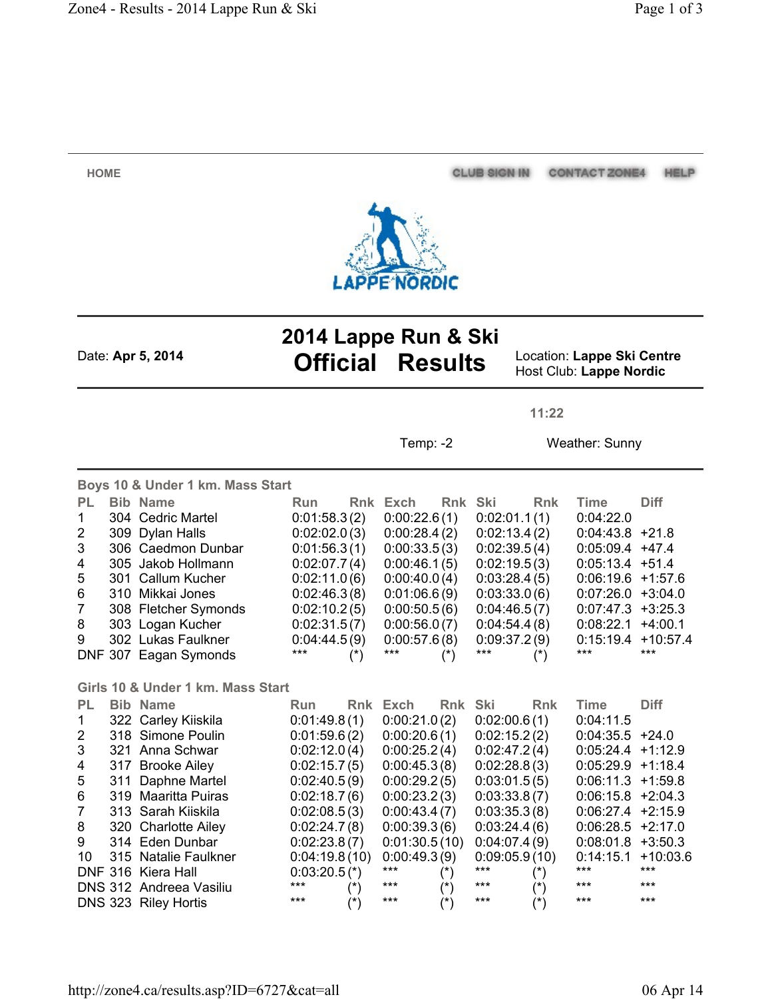CLUB SIGN IN CONTACT ZONE4 HELP



**HOME**

**2014 Lappe Run & Ski** Date: **Apr 5, 2014 Official Results** Location: **Lappe Ski Centre**

Host Club: **Lappe Nordic**

**11:22**

Temp: -2 Weather: Sunny

| Boys 10 & Under 1 km. Mass Start  |     |                         |                 |                   |               |                   |               |               |                      |             |
|-----------------------------------|-----|-------------------------|-----------------|-------------------|---------------|-------------------|---------------|---------------|----------------------|-------------|
| <b>PL</b>                         |     | <b>Bib Name</b>         | Run             |                   | Rnk Exch      | Rnk Ski           |               | <b>Rnk</b>    | <b>Time</b>          | <b>Diff</b> |
| 1                                 |     | 304 Cedric Martel       | 0:01:58.3(2)    |                   | 0:00:22.6(1)  |                   | 0:02:01.1(1)  |               | 0.04:22.0            |             |
| $\overline{2}$                    |     | 309 Dylan Halls         | 0:02:02.0(3)    |                   | 0:00:28.4(2)  |                   | 0:02:13.4(2)  |               | $0:04:43.8$ +21.8    |             |
| 3                                 |     | 306 Caedmon Dunbar      | 0:01:56.3(1)    |                   | 0:00:33.5(3)  |                   | 0:02:39.5(4)  |               | $0:05:09.4$ +47.4    |             |
| 4                                 |     | 305 Jakob Hollmann      | 0:02:07.7(4)    |                   | 0:00:46.1(5)  |                   | 0:02:19.5(3)  |               | $0:05:13.4$ +51.4    |             |
| 5                                 |     | 301 Callum Kucher       | 0:02:11.0(6)    |                   | 0:00:40.0(4)  |                   | 0:03:28.4(5)  |               | 0:06:19.6            | $+1:57.6$   |
| 6                                 |     | 310 Mikkai Jones        | 0.02:46.3(8)    |                   | 0:01:06.6(9)  |                   | 0:03:33.0(6)  |               | 0.07:26.0            | $+3:04.0$   |
| $\overline{7}$                    |     | 308 Fletcher Symonds    | 0:02:10.2(5)    |                   | 0:00:50.5(6)  |                   | 0:04:46.5(7)  |               | 0.07:47.3            | $+3:25.3$   |
| 8                                 |     | 303 Logan Kucher        | 0:02:31.5(7)    |                   | 0:00:56.0(7)  |                   | 0:04:54.4(8)  |               | 0:08:22.1            | $+4:00.1$   |
| 9                                 |     | 302 Lukas Faulkner      | 0:04:44.5(9)    |                   | 0:00:57.6(8)  |                   | 0:09:37.2(9)  |               | 0:15:19.4            | $+10:57.4$  |
|                                   |     | DNF 307 Eagan Symonds   | ***             | $(*)$             | ***           | $(\dot{r})$       | ***           | $(\dot{r})$   | ***                  | $***$       |
|                                   |     |                         |                 |                   |               |                   |               |               |                      |             |
| Girls 10 & Under 1 km. Mass Start |     |                         |                 |                   |               |                   |               |               |                      |             |
| <b>PL</b>                         |     | <b>Bib Name</b>         | Run             |                   | Rnk Exch      | Rnk Ski           |               | <b>Rnk</b>    | <b>Time</b>          | <b>Diff</b> |
| 1                                 |     | 322 Carley Kiiskila     | 0:01:49.8(1)    |                   | 0:00:21.0(2)  |                   | 0:02:00.6(1)  |               | 0:04:11.5            |             |
| $\overline{2}$                    |     | 318 Simone Poulin       | 0:01:59.6(2)    |                   | 0:00:20.6(1)  |                   | 0:02:15.2(2)  |               | $0.04:35.5$ +24.0    |             |
| 3                                 |     | 321 Anna Schwar         | 0.02:12.0(4)    |                   | 0:00:25.2(4)  |                   | 0:02:47.2(4)  |               | 0:05:24.4            | $+1:12.9$   |
| 4                                 | 317 | <b>Brooke Ailey</b>     | 0:02:15.7(5)    |                   | 0:00:45.3(8)  |                   | 0:02:28.8(3)  |               | $0:05:29.9$ +1:18.4  |             |
| 5                                 | 311 | Daphne Martel           | 0:02:40.5(9)    |                   | 0:00:29.2(5)  |                   | 0:03:01.5(5)  |               | $0:06:11.3 +1:59.8$  |             |
| 6                                 | 319 | <b>Maaritta Puiras</b>  | 0:02:18.7(6)    |                   | 0:00:23.2(3)  |                   | 0:03:33.8(7)  |               | $0:06:15.8 + 2:04.3$ |             |
| 7                                 |     | 313 Sarah Kiiskila      | 0:02:08.5(3)    |                   | 0:00:43.4(7)  |                   | 0:03:35.3(8)  |               | 0:06:27.4            | $+2:15.9$   |
| 8                                 |     | 320 Charlotte Ailey     | 0:02:24.7(8)    |                   | 0:00:39.3(6)  |                   | 0:03:24.4(6)  |               | 0:06:28.5            | $+2:17.0$   |
| 9                                 |     | 314 Eden Dunbar         | 0:02:23.8(7)    |                   | 0:01:30.5(10) |                   | 0:04:07.4(9)  |               | 0:08:01.8            | $+3:50.3$   |
| 10                                |     | 315 Natalie Faulkner    | 0:04:19.8(10)   |                   | 0:00:49.3(9)  |                   | 0:09:05.9(10) |               | 0:14:15.1            | $+10:03.6$  |
|                                   |     | DNF 316 Kiera Hall      | $0:03:20.5$ (*) |                   | $***$         | $(\dot{r})$       | $***$         | $(\dot{ }^*)$ | ***                  | $***$       |
|                                   |     | DNS 312 Andreea Vasiliu | ***             | $(\hbox{}^\star)$ | ***           | $(\hbox{}^\star)$ | ***           | $(\dot{r})$   | ***                  | ***         |
|                                   |     | DNS 323 Riley Hortis    | ***             | $(*)$             | ***           | $(\dot{r})$       | ***           | $(\dot{r})$   | ***                  | $***$       |

http://zone4.ca/results.asp?ID=6727&cat=all 06 Apr 14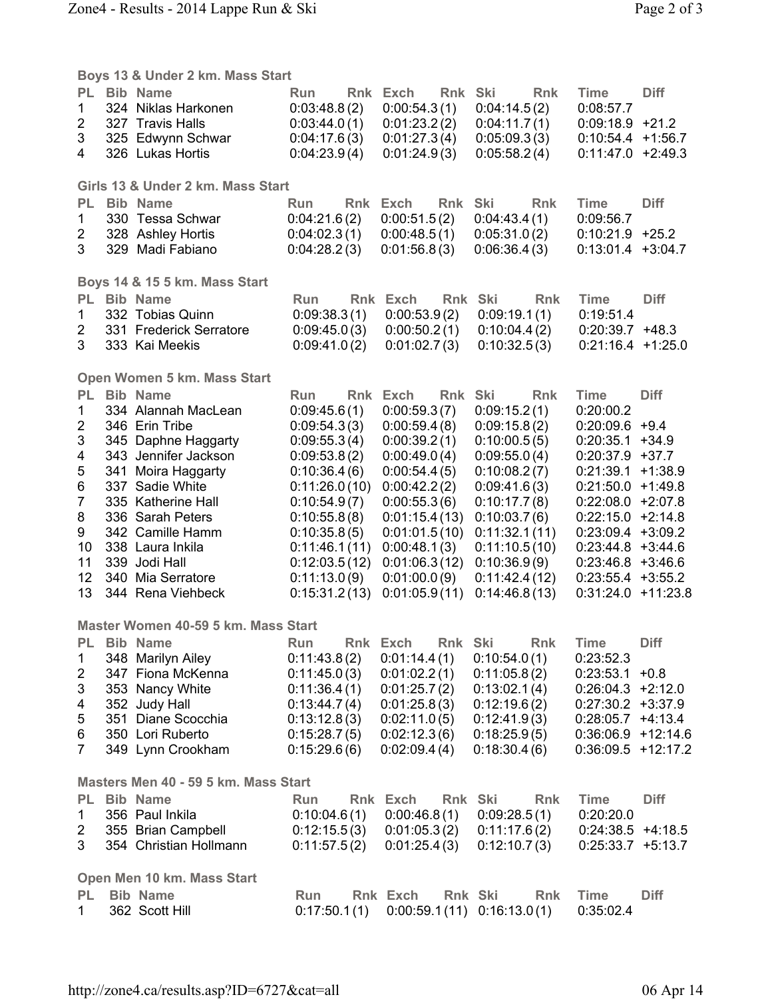|                                      | Boys 13 & Under 2 km. Mass Start |                                              |                                |                                     |                                |                                              |             |  |  |
|--------------------------------------|----------------------------------|----------------------------------------------|--------------------------------|-------------------------------------|--------------------------------|----------------------------------------------|-------------|--|--|
| PL.<br>1                             |                                  | <b>Bib Name</b><br>324 Niklas Harkonen       | Run<br>0:03:48.8(2)            | Rnk Ski<br>Rnk Exch<br>0:00:54.3(1) | <b>Rnk</b><br>0:04:14.5(2)     | <b>Time</b><br>0:08:57.7                     | <b>Diff</b> |  |  |
| $\overline{2}$                       |                                  | 327 Travis Halls                             | 0:03:44.0(1)                   | 0:01:23.2(2)                        | 0:04:11.7(1)                   | $0.09:18.9$ +21.2<br>0:10:54.4               | $+1:56.7$   |  |  |
| 3<br>4                               |                                  | 325 Edwynn Schwar<br>326 Lukas Hortis        | 0:04:17.6(3)<br>0:04:23.9(4)   | 0:01:27.3(4)<br>0:01:24.9(3)        | 0:05:09.3(3)<br>0:05:58.2(4)   | $0:11:47.0 +2:49.3$                          |             |  |  |
|                                      |                                  |                                              |                                |                                     |                                |                                              |             |  |  |
|                                      |                                  | Girls 13 & Under 2 km. Mass Start            |                                |                                     |                                |                                              |             |  |  |
| <b>PL</b>                            |                                  | <b>Bib Name</b>                              | <b>Run</b>                     | Rnk Exch<br>Rnk                     | <b>Ski</b><br>Rnk              | <b>Time</b>                                  | <b>Diff</b> |  |  |
| 1                                    |                                  | 330 Tessa Schwar                             | 0:04:21.6(2)                   | 0:00:51.5(2)                        | 0:04:43.4(1)                   | 0:09:56.7                                    |             |  |  |
| $\overline{2}$                       |                                  | 328 Ashley Hortis                            | 0.04:02.3(1)                   | 0:00:48.5(1)                        | 0:05:31.0(2)                   | $0:10:21.9$ +25.2                            |             |  |  |
| 3                                    |                                  | 329 Madi Fabiano                             | 0.04:28.2(3)                   | 0:01:56.8(3)                        | 0:06:36.4(3)                   | $0:13:01.4$ +3:04.7                          |             |  |  |
|                                      |                                  | Boys 14 & 15 5 km. Mass Start                |                                |                                     |                                |                                              |             |  |  |
| <b>PL</b>                            |                                  | <b>Bib Name</b>                              | <b>Run</b>                     | Rnk Exch<br>Rnk                     | Ski<br>Rnk                     | <b>Time</b>                                  | <b>Diff</b> |  |  |
| 1                                    |                                  | 332 Tobias Quinn                             | 0:09:38.3(1)                   | 0:00:53.9(2)                        | 0:09:19.1(1)                   | 0:19:51.4                                    |             |  |  |
| 2                                    |                                  | 331 Frederick Serratore                      | 0:09:45.0(3)                   | 0:00:50.2(1)                        | 0:10:04.4(2)                   | $0:20:39.7$ +48.3                            |             |  |  |
| 3                                    |                                  | 333 Kai Meekis                               | 0:09:41.0(2)                   | 0:01:02.7(3)                        | 0:10:32.5(3)                   | $0:21:16.4$ +1:25.0                          |             |  |  |
|                                      |                                  | Open Women 5 km. Mass Start                  |                                |                                     |                                |                                              |             |  |  |
| PL.                                  |                                  | <b>Bib Name</b>                              | <b>Run</b>                     | Rnk Exch<br>Rnk Ski                 | <b>Rnk</b>                     | <b>Time</b>                                  | <b>Diff</b> |  |  |
| 1                                    |                                  | 334 Alannah MacLean                          | 0:09:45.6(1)                   | 0:00:59.3(7)                        | 0:09:15.2(1)                   | 0:20:00.2                                    |             |  |  |
| $\overline{2}$                       |                                  | 346 Erin Tribe                               | 0:09:54.3(3)                   | 0:00:59.4(8)                        | 0:09:15.8(2)                   | $0:20:09.6$ +9.4                             |             |  |  |
| 3<br>4                               |                                  | 345 Daphne Haggarty<br>343 Jennifer Jackson  | 0:09:55.3(4)<br>0:09:53.8(2)   | 0:00:39.2(1)<br>0:00:49.0(4)        | 0:10:00.5(5)<br>0:09:55.0(4)   | 0:20:35.1<br>$0:20:37.9$ +37.7               | $+34.9$     |  |  |
| 5                                    |                                  | 341 Moira Haggarty                           | 0:10:36.4(6)                   | 0:00:54.4(5)                        | 0:10:08.2(7)                   | 0:21:39.1                                    | $+1:38.9$   |  |  |
| 6                                    |                                  | 337 Sadie White                              | 0:11:26.0(10)                  | 0:00:42.2(2)                        | 0:09:41.6(3)                   | $0:21:50.0 +1:49.8$                          |             |  |  |
| $\overline{7}$                       |                                  | 335 Katherine Hall                           | 0:10:54.9(7)                   | 0:00:55.3(6)                        | 0:10:17.7(8)                   | $0:22:08.0 + 2:07.8$                         |             |  |  |
| 8                                    |                                  | 336 Sarah Peters                             | 0:10:55.8(8)                   | 0:01:15.4(13)                       | 0:10:03.7(6)                   | $0:22:15.0 +2:14.8$                          |             |  |  |
| 9                                    |                                  | 342 Camille Hamm                             | 0:10:35.8(5)                   | 0:01:01.5(10)                       | 0:11:32.1(11)                  | $0:23:09.4$ +3:09.2                          |             |  |  |
| 10<br>11                             |                                  | 338 Laura Inkila<br>339 Jodi Hall            | 0:11:46.1(11)<br>0:12:03.5(12) | 0:00:48.1(3)<br>0.01:06.3(12)       | 0:11:10.5(10)<br>0:10:36.9(9)  | $0:23:44.8$ +3.44.6<br>$0:23:46.8$ +3:46.6   |             |  |  |
| 12                                   |                                  | 340 Mia Serratore                            | 0:11:13.0(9)                   | 0:01:00.0(9)                        | 0:11:42.4(12)                  | $0:23:55.4$ +3:55.2                          |             |  |  |
| 13                                   |                                  | 344 Rena Viehbeck                            | 0:15:31.2(13)                  | 0:01:05.9(11)                       | 0:14:46.8(13)                  | $0:31:24.0 +11:23.8$                         |             |  |  |
| Master Women 40-59 5 km, Mass Start  |                                  |                                              |                                |                                     |                                |                                              |             |  |  |
| <b>PL</b>                            |                                  | <b>Bib Name</b>                              | Run<br><b>Rnk</b>              | Exch<br><b>Rnk</b>                  | Ski<br><b>Rnk</b>              | <b>Time</b>                                  | <b>Diff</b> |  |  |
| $\mathbf 1$                          |                                  | 348 Marilyn Ailey                            | 0:11:43.8(2)                   | 0:01:14.4(1)                        | 0:10:54.0(1)                   | 0:23:52.3                                    |             |  |  |
| $\overline{2}$                       |                                  | 347 Fiona McKenna                            | 0:11:45.0(3)                   | 0:01:02.2(1)                        | 0:11:05.8(2)                   | 0:23:53.1                                    | $+0.8$      |  |  |
| 3                                    |                                  | 353 Nancy White                              | 0:11:36.4(1)                   | 0:01:25.7(2)                        | 0:13:02.1(4)                   | $0:26:04.3 +2:12.0$                          |             |  |  |
| 4                                    |                                  | 352 Judy Hall                                | 0:13:44.7(4)                   | 0:01:25.8(3)                        | 0:12:19.6(2)                   | $0.27.30.2 +3.37.9$                          |             |  |  |
| 5                                    |                                  | 351 Diane Scocchia                           | 0:13:12.8(3)                   | 0:02:11.0(5)                        | 0:12:41.9(3)                   | $0:28:05.7$ +4:13.4                          |             |  |  |
| 6<br>$\overline{7}$                  |                                  | 350 Lori Ruberto<br>349 Lynn Crookham        | 0:15:28.7(5)<br>0:15:29.6(6)   | 0:02:12.3(6)<br>0:02:09.4(4)        | 0:18:25.9(5)<br>0:18:30.4(6)   | $0:36:06.9$ +12:14.6<br>$0:36:09.5$ +12:17.2 |             |  |  |
|                                      |                                  |                                              |                                |                                     |                                |                                              |             |  |  |
| Masters Men 40 - 59 5 km. Mass Start |                                  |                                              |                                |                                     |                                |                                              |             |  |  |
| <b>PL</b>                            |                                  | <b>Bib Name</b>                              | Run                            | Rnk Exch                            | Rnk Ski<br><b>Rnk</b>          | <b>Time</b>                                  | <b>Diff</b> |  |  |
| 1                                    |                                  | 356 Paul Inkila                              | 0:10:04.6(1)                   | 0:00:46.8(1)                        | 0:09:28.5(1)                   | 0:20:20.0                                    |             |  |  |
| 2<br>3                               |                                  | 355 Brian Campbell<br>354 Christian Hollmann | 0:12:15.5(3)<br>0:11:57.5(2)   | 0:01:05.3(2)<br>0:01:25.4(3)        | 0:11:17.6(2)<br>0:12:10.7(3)   | $0:24:38.5$ +4:18.5<br>$0:25:33.7$ +5:13.7   |             |  |  |
|                                      |                                  |                                              |                                |                                     |                                |                                              |             |  |  |
| Open Men 10 km. Mass Start           |                                  |                                              |                                |                                     |                                |                                              |             |  |  |
| <b>PL</b>                            |                                  | <b>Bib Name</b>                              | Run                            | Rnk Exch                            | Rnk Ski<br><b>Rnk</b>          | <b>Time</b>                                  | <b>Diff</b> |  |  |
| 1.                                   |                                  | 362 Scott Hill                               | 0:17:50.1(1)                   |                                     | $0.00:59.1(11)$ $0.16:13.0(1)$ | 0:35:02.4                                    |             |  |  |